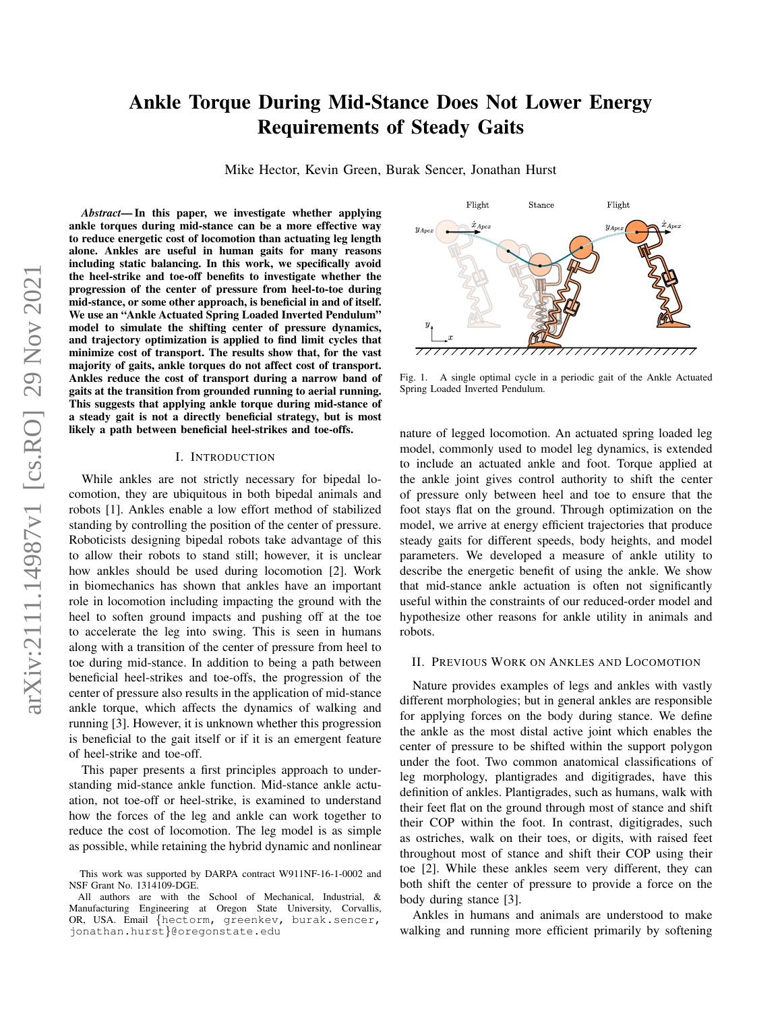# Ankle Torque During Mid-Stance Does Not Lower Energy Requirements of Steady Gaits

Mike Hector, Kevin Green, Burak Sencer, Jonathan Hurst

*Abstract*— In this paper, we investigate whether applying ankle torques during mid-stance can be a more effective way to reduce energetic cost of locomotion than actuating leg length alone. Ankles are useful in human gaits for many reasons including static balancing. In this work, we specifically avoid the heel-strike and toe-off benefits to investigate whether the progression of the center of pressure from heel-to-toe during mid-stance, or some other approach, is beneficial in and of itself. We use an "Ankle Actuated Spring Loaded Inverted Pendulum" model to simulate the shifting center of pressure dynamics, and trajectory optimization is applied to find limit cycles that minimize cost of transport. The results show that, for the vast majority of gaits, ankle torques do not affect cost of transport. Ankles reduce the cost of transport during a narrow band of gaits at the transition from grounded running to aerial running. This suggests that applying ankle torque during mid-stance of a steady gait is not a directly beneficial strategy, but is most likely a path between beneficial heel-strikes and toe-offs.

## I. INTRODUCTION

While ankles are not strictly necessary for bipedal locomotion, they are ubiquitous in both bipedal animals and robots [1]. Ankles enable a low effort method of stabilized standing by controlling the position of the center of pressure. Roboticists designing bipedal robots take advantage of this to allow their robots to stand still; however, it is unclear how ankles should be used during locomotion [2]. Work in biomechanics has shown that ankles have an important role in locomotion including impacting the ground with the heel to soften ground impacts and pushing off at the toe to accelerate the leg into swing. This is seen in humans along with a transition of the center of pressure from heel to toe during mid-stance. In addition to being a path between beneficial heel-strikes and toe-offs, the progression of the center of pressure also results in the application of mid-stance ankle torque, which affects the dynamics of walking and running [3]. However, it is unknown whether this progression is beneficial to the gait itself or if it is an emergent feature of heel-strike and toe-off.

This paper presents a first principles approach to understanding mid-stance ankle function. Mid-stance ankle actuation, not toe-off or heel-strike, is examined to understand how the forces of the leg and ankle can work together to reduce the cost of locomotion. The leg model is as simple as possible, while retaining the hybrid dynamic and nonlinear



<span id="page-0-0"></span>Fig. 1. A single optimal cycle in a periodic gait of the Ankle Actuated Spring Loaded Inverted Pendulum.

nature of legged locomotion. An actuated spring loaded leg model, commonly used to model leg dynamics, is extended to include an actuated ankle and foot. Torque applied at the ankle joint gives control authority to shift the center of pressure only between heel and toe to ensure that the foot stays flat on the ground. Through optimization on the model, we arrive at energy efficient trajectories that produce steady gaits for different speeds, body heights, and model parameters. We developed a measure of ankle utility to describe the energetic benefit of using the ankle. We show that mid-stance ankle actuation is often not significantly useful within the constraints of our reduced-order model and hypothesize other reasons for ankle utility in animals and robots.

## II. PREVIOUS WORK ON ANKLES AND LOCOMOTION

Nature provides examples of legs and ankles with vastly different morphologies; but in general ankles are responsible for applying forces on the body during stance. We define the ankle as the most distal active joint which enables the center of pressure to be shifted within the support polygon under the foot. Two common anatomical classifications of leg morphology, plantigrades and digitigrades, have this definition of ankles. Plantigrades, such as humans, walk with their feet flat on the ground through most of stance and shift their COP within the foot. In contrast, digitigrades, such as ostriches, walk on their toes, or digits, with raised feet throughout most of stance and shift their COP using their toe [2]. While these ankles seem very different, they can both shift the center of pressure to provide a force on the body during stance [3].

Ankles in humans and animals are understood to make walking and running more efficient primarily by softening

This work was supported by DARPA contract W911NF-16-1-0002 and NSF Grant No. 1314109-DGE.

All authors are with the School of Mechanical, Industrial, & Manufacturing Engineering at Oregon State University, Corvallis, OR, USA. Email {hectorm, greenkev, burak.sencer, jonathan.hurst}@oregonstate.edu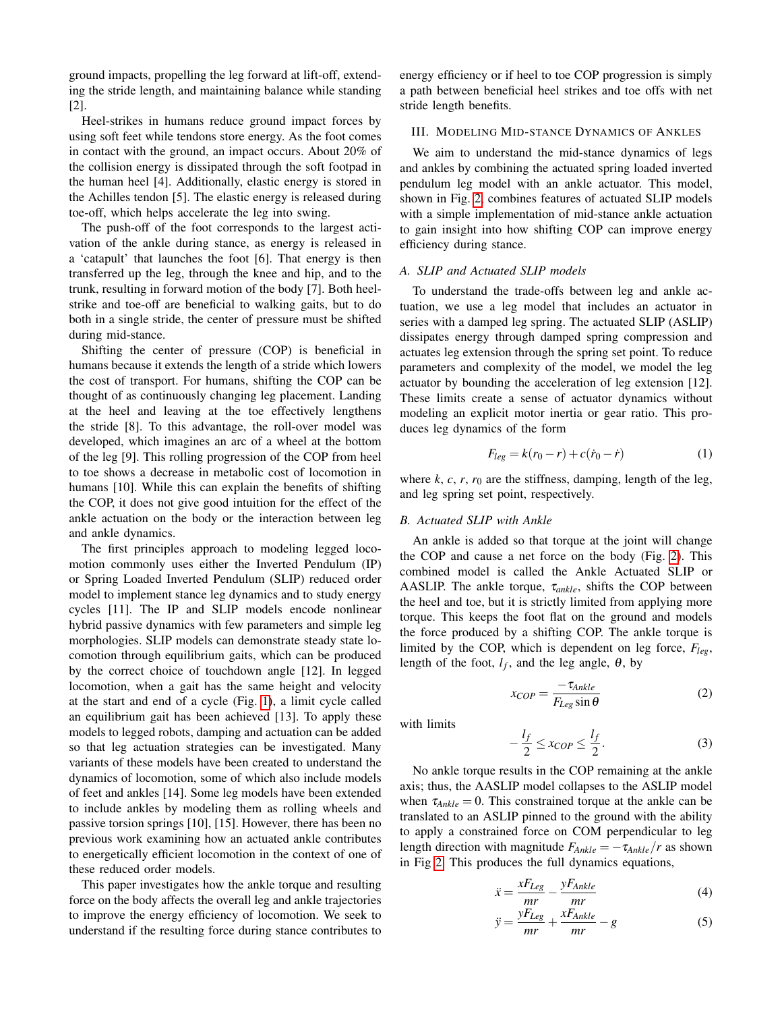ground impacts, propelling the leg forward at lift-off, extending the stride length, and maintaining balance while standing [2].

Heel-strikes in humans reduce ground impact forces by using soft feet while tendons store energy. As the foot comes in contact with the ground, an impact occurs. About 20% of the collision energy is dissipated through the soft footpad in the human heel [4]. Additionally, elastic energy is stored in the Achilles tendon [5]. The elastic energy is released during toe-off, which helps accelerate the leg into swing.

The push-off of the foot corresponds to the largest activation of the ankle during stance, as energy is released in a 'catapult' that launches the foot [6]. That energy is then transferred up the leg, through the knee and hip, and to the trunk, resulting in forward motion of the body [7]. Both heelstrike and toe-off are beneficial to walking gaits, but to do both in a single stride, the center of pressure must be shifted during mid-stance.

Shifting the center of pressure (COP) is beneficial in humans because it extends the length of a stride which lowers the cost of transport. For humans, shifting the COP can be thought of as continuously changing leg placement. Landing at the heel and leaving at the toe effectively lengthens the stride [8]. To this advantage, the roll-over model was developed, which imagines an arc of a wheel at the bottom of the leg [9]. This rolling progression of the COP from heel to toe shows a decrease in metabolic cost of locomotion in humans [10]. While this can explain the benefits of shifting the COP, it does not give good intuition for the effect of the ankle actuation on the body or the interaction between leg and ankle dynamics.

The first principles approach to modeling legged locomotion commonly uses either the Inverted Pendulum (IP) or Spring Loaded Inverted Pendulum (SLIP) reduced order model to implement stance leg dynamics and to study energy cycles [11]. The IP and SLIP models encode nonlinear hybrid passive dynamics with few parameters and simple leg morphologies. SLIP models can demonstrate steady state locomotion through equilibrium gaits, which can be produced by the correct choice of touchdown angle [12]. In legged locomotion, when a gait has the same height and velocity at the start and end of a cycle (Fig. [1\)](#page-0-0), a limit cycle called an equilibrium gait has been achieved [13]. To apply these models to legged robots, damping and actuation can be added so that leg actuation strategies can be investigated. Many variants of these models have been created to understand the dynamics of locomotion, some of which also include models of feet and ankles [14]. Some leg models have been extended to include ankles by modeling them as rolling wheels and passive torsion springs [10], [15]. However, there has been no previous work examining how an actuated ankle contributes to energetically efficient locomotion in the context of one of these reduced order models.

This paper investigates how the ankle torque and resulting force on the body affects the overall leg and ankle trajectories to improve the energy efficiency of locomotion. We seek to understand if the resulting force during stance contributes to energy efficiency or if heel to toe COP progression is simply a path between beneficial heel strikes and toe offs with net stride length benefits.

# III. MODELING MID-STANCE DYNAMICS OF ANKLES

We aim to understand the mid-stance dynamics of legs and ankles by combining the actuated spring loaded inverted pendulum leg model with an ankle actuator. This model, shown in Fig. [2,](#page-2-0) combines features of actuated SLIP models with a simple implementation of mid-stance ankle actuation to gain insight into how shifting COP can improve energy efficiency during stance.

## *A. SLIP and Actuated SLIP models*

To understand the trade-offs between leg and ankle actuation, we use a leg model that includes an actuator in series with a damped leg spring. The actuated SLIP (ASLIP) dissipates energy through damped spring compression and actuates leg extension through the spring set point. To reduce parameters and complexity of the model, we model the leg actuator by bounding the acceleration of leg extension [12]. These limits create a sense of actuator dynamics without modeling an explicit motor inertia or gear ratio. This produces leg dynamics of the form

$$
F_{leg} = k(r_0 - r) + c(\dot{r}_0 - \dot{r})
$$
 (1)

where  $k$ ,  $c$ ,  $r$ ,  $r_0$  are the stiffness, damping, length of the leg, and leg spring set point, respectively.

# *B. Actuated SLIP with Ankle*

An ankle is added so that torque at the joint will change the COP and cause a net force on the body (Fig. [2\)](#page-2-0). This combined model is called the Ankle Actuated SLIP or AASLIP. The ankle torque, τ*ankle*, shifts the COP between the heel and toe, but it is strictly limited from applying more torque. This keeps the foot flat on the ground and models the force produced by a shifting COP. The ankle torque is limited by the COP, which is dependent on leg force, *Fleg*, length of the foot,  $l_f$ , and the leg angle,  $\theta$ , by

<span id="page-1-0"></span>
$$
x_{COP} = \frac{-\tau_{Ankle}}{F_{Leg}\sin\theta} \tag{2}
$$

with limits

<span id="page-1-1"></span>
$$
-\frac{l_f}{2} \le x_{COP} \le \frac{l_f}{2}.\tag{3}
$$

No ankle torque results in the COP remaining at the ankle axis; thus, the AASLIP model collapses to the ASLIP model when  $\tau_{Ankle} = 0$ . This constrained torque at the ankle can be translated to an ASLIP pinned to the ground with the ability to apply a constrained force on COM perpendicular to leg length direction with magnitude  $F_{Ankle} = -\tau_{Ankle}/r$  as shown in Fig [2.](#page-2-0) This produces the full dynamics equations,

$$
\ddot{x} = \frac{xF_{Leg}}{mr} - \frac{yF_{Ankle}}{mr}
$$
\n(4)

$$
\ddot{y} = \frac{yF_{Leg}}{mr} + \frac{xF_{Ankle}}{mr} - g \tag{5}
$$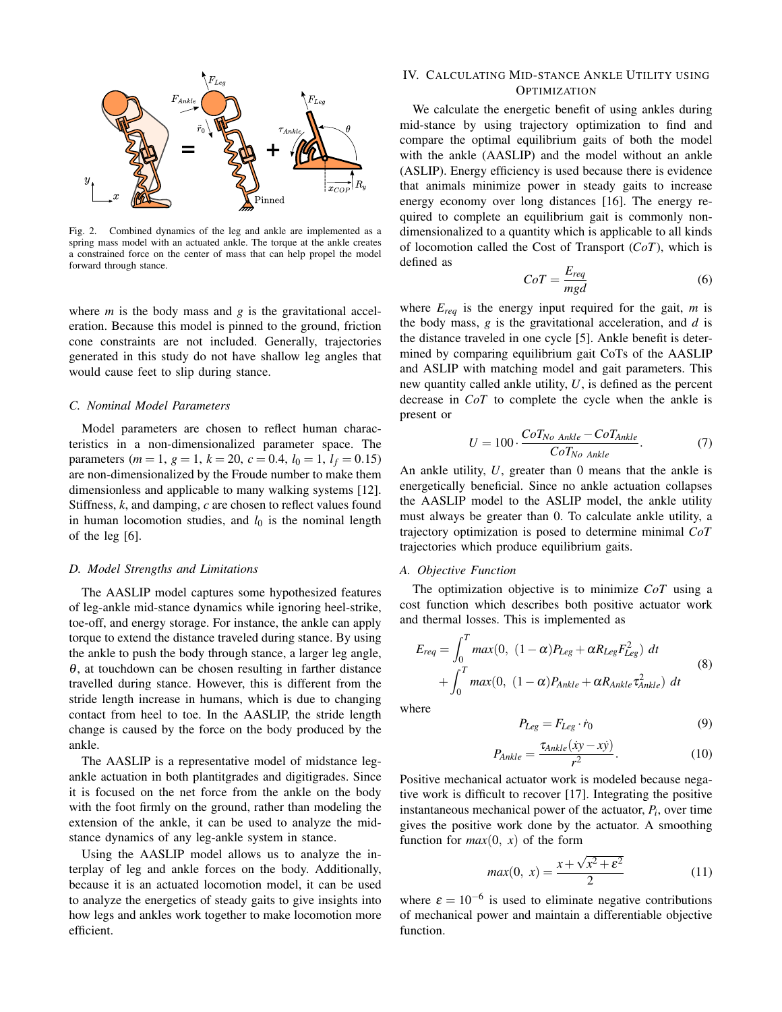

<span id="page-2-0"></span>Fig. 2. Combined dynamics of the leg and ankle are implemented as a spring mass model with an actuated ankle. The torque at the ankle creates a constrained force on the center of mass that can help propel the model forward through stance.

where *m* is the body mass and *g* is the gravitational acceleration. Because this model is pinned to the ground, friction cone constraints are not included. Generally, trajectories generated in this study do not have shallow leg angles that would cause feet to slip during stance.

# *C. Nominal Model Parameters*

Model parameters are chosen to reflect human characteristics in a non-dimensionalized parameter space. The parameters (*m* = 1, *g* = 1, *k* = 20, *c* = 0.4,  $l_0$  = 1,  $l_f$  = 0.15) are non-dimensionalized by the Froude number to make them dimensionless and applicable to many walking systems [12]. Stiffness, *k*, and damping, *c* are chosen to reflect values found in human locomotion studies, and  $l_0$  is the nominal length of the leg [6].

## *D. Model Strengths and Limitations*

The AASLIP model captures some hypothesized features of leg-ankle mid-stance dynamics while ignoring heel-strike, toe-off, and energy storage. For instance, the ankle can apply torque to extend the distance traveled during stance. By using the ankle to push the body through stance, a larger leg angle,  $\theta$ , at touchdown can be chosen resulting in farther distance travelled during stance. However, this is different from the stride length increase in humans, which is due to changing contact from heel to toe. In the AASLIP, the stride length change is caused by the force on the body produced by the ankle.

The AASLIP is a representative model of midstance legankle actuation in both plantitgrades and digitigrades. Since it is focused on the net force from the ankle on the body with the foot firmly on the ground, rather than modeling the extension of the ankle, it can be used to analyze the midstance dynamics of any leg-ankle system in stance.

Using the AASLIP model allows us to analyze the interplay of leg and ankle forces on the body. Additionally, because it is an actuated locomotion model, it can be used to analyze the energetics of steady gaits to give insights into how legs and ankles work together to make locomotion more efficient.

# IV. CALCULATING MID-STANCE ANKLE UTILITY USING **OPTIMIZATION**

We calculate the energetic benefit of using ankles during mid-stance by using trajectory optimization to find and compare the optimal equilibrium gaits of both the model with the ankle (AASLIP) and the model without an ankle (ASLIP). Energy efficiency is used because there is evidence that animals minimize power in steady gaits to increase energy economy over long distances [16]. The energy required to complete an equilibrium gait is commonly nondimensionalized to a quantity which is applicable to all kinds of locomotion called the Cost of Transport (*CoT*), which is defined as

$$
CoT = \frac{E_{req}}{mgd} \tag{6}
$$

where  $E_{req}$  is the energy input required for the gait,  $m$  is the body mass, *g* is the gravitational acceleration, and *d* is the distance traveled in one cycle [5]. Ankle benefit is determined by comparing equilibrium gait CoTs of the AASLIP and ASLIP with matching model and gait parameters. This new quantity called ankle utility, *U*, is defined as the percent decrease in *CoT* to complete the cycle when the ankle is present or

$$
U = 100 \cdot \frac{C \sigma T_{No\ Ankle} - C \sigma T_{Ankle}}{C \sigma T_{No\ Ankle}}.\tag{7}
$$

An ankle utility, *U*, greater than 0 means that the ankle is energetically beneficial. Since no ankle actuation collapses the AASLIP model to the ASLIP model, the ankle utility must always be greater than 0. To calculate ankle utility, a trajectory optimization is posed to determine minimal *CoT* trajectories which produce equilibrium gaits.

## *A. Objective Function*

The optimization objective is to minimize *CoT* using a cost function which describes both positive actuator work and thermal losses. This is implemented as

$$
E_{req} = \int_0^T max(0, (1 - \alpha)P_{Leg} + \alpha R_{Leg} F_{Leg}^2) dt
$$
  
+ 
$$
\int_0^T max(0, (1 - \alpha)P_{Ankle} + \alpha R_{Ankle} \tau_{Ankle}^2) dt
$$
 (8)

where

$$
P_{Leg} = F_{Leg} \cdot \dot{r}_0 \tag{9}
$$

$$
P_{Ankle} = \frac{\tau_{Ankle}(\dot{x}y - x\dot{y})}{r^2}.
$$
\n(10)

Positive mechanical actuator work is modeled because negative work is difficult to recover [17]. Integrating the positive instantaneous mechanical power of the actuator, *P<sup>i</sup>* , over time gives the positive work done by the actuator. A smoothing function for  $max(0, x)$  of the form

$$
max(0, x) = \frac{x + \sqrt{x^2 + \varepsilon^2}}{2}
$$
 (11)

where  $\varepsilon = 10^{-6}$  is used to eliminate negative contributions of mechanical power and maintain a differentiable objective function.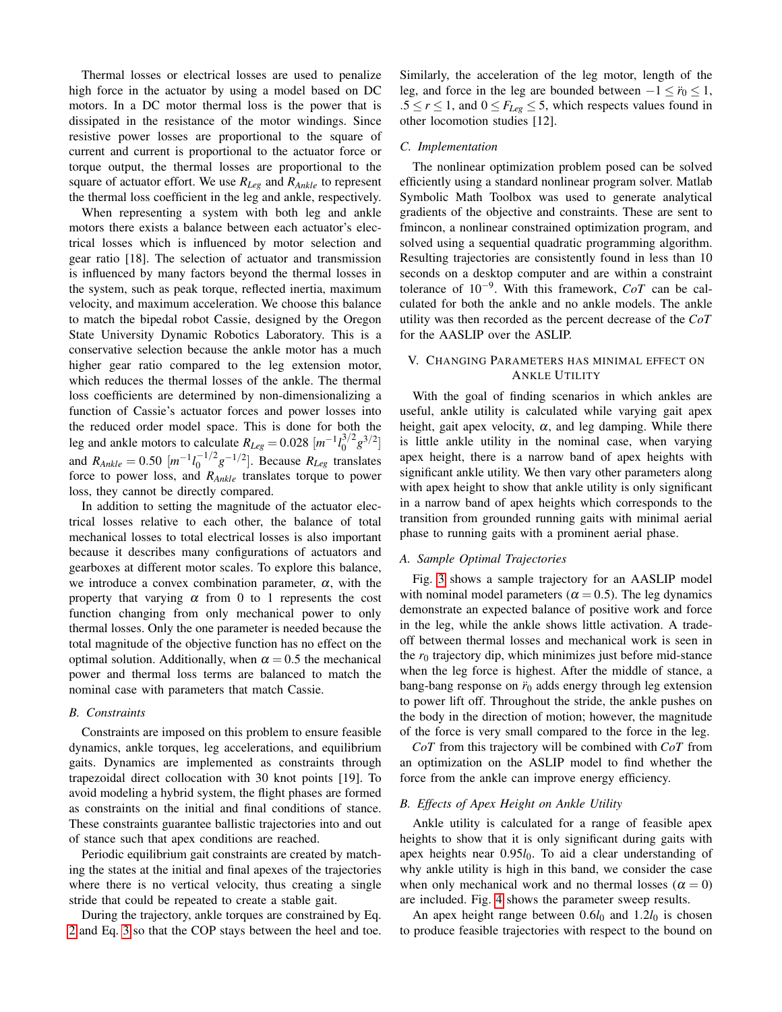Thermal losses or electrical losses are used to penalize high force in the actuator by using a model based on DC motors. In a DC motor thermal loss is the power that is dissipated in the resistance of the motor windings. Since resistive power losses are proportional to the square of current and current is proportional to the actuator force or torque output, the thermal losses are proportional to the square of actuator effort. We use *RLeg* and *RAnkle* to represent the thermal loss coefficient in the leg and ankle, respectively.

When representing a system with both leg and ankle motors there exists a balance between each actuator's electrical losses which is influenced by motor selection and gear ratio [18]. The selection of actuator and transmission is influenced by many factors beyond the thermal losses in the system, such as peak torque, reflected inertia, maximum velocity, and maximum acceleration. We choose this balance to match the bipedal robot Cassie, designed by the Oregon State University Dynamic Robotics Laboratory. This is a conservative selection because the ankle motor has a much higher gear ratio compared to the leg extension motor, which reduces the thermal losses of the ankle. The thermal loss coefficients are determined by non-dimensionalizing a function of Cassie's actuator forces and power losses into the reduced order model space. This is done for both the leg and ankle motors to calculate  $R_{Leg} = 0.028$   $[m^{-1}l_0^{3/2}]$  $\binom{3}{2}$   $\binom{3}{2}$ and  $R_{Ankle} = 0.50$   $[m^{-1}l_0^{-1/2}]$  $\binom{-1/2}{0}$ <sup> $g$ -1/2</sup>]. Because *R*<sub>*Leg*</sub> translates force to power loss, and *RAnkle* translates torque to power loss, they cannot be directly compared.

In addition to setting the magnitude of the actuator electrical losses relative to each other, the balance of total mechanical losses to total electrical losses is also important because it describes many configurations of actuators and gearboxes at different motor scales. To explore this balance, we introduce a convex combination parameter,  $\alpha$ , with the property that varying  $\alpha$  from 0 to 1 represents the cost function changing from only mechanical power to only thermal losses. Only the one parameter is needed because the total magnitude of the objective function has no effect on the optimal solution. Additionally, when  $\alpha = 0.5$  the mechanical power and thermal loss terms are balanced to match the nominal case with parameters that match Cassie.

# *B. Constraints*

Constraints are imposed on this problem to ensure feasible dynamics, ankle torques, leg accelerations, and equilibrium gaits. Dynamics are implemented as constraints through trapezoidal direct collocation with 30 knot points [19]. To avoid modeling a hybrid system, the flight phases are formed as constraints on the initial and final conditions of stance. These constraints guarantee ballistic trajectories into and out of stance such that apex conditions are reached.

Periodic equilibrium gait constraints are created by matching the states at the initial and final apexes of the trajectories where there is no vertical velocity, thus creating a single stride that could be repeated to create a stable gait.

During the trajectory, ankle torques are constrained by Eq. [2](#page-1-0) and Eq. [3](#page-1-1) so that the COP stays between the heel and toe. Similarly, the acceleration of the leg motor, length of the leg, and force in the leg are bounded between  $-1 \leq \ddot{r}_0 \leq 1$ , .5  $\leq$  *r*  $\leq$  1, and 0  $\leq$  *F*<sub>*Leg*</sub>  $\leq$  5, which respects values found in other locomotion studies [12].

## *C. Implementation*

The nonlinear optimization problem posed can be solved efficiently using a standard nonlinear program solver. Matlab Symbolic Math Toolbox was used to generate analytical gradients of the objective and constraints. These are sent to fmincon, a nonlinear constrained optimization program, and solved using a sequential quadratic programming algorithm. Resulting trajectories are consistently found in less than 10 seconds on a desktop computer and are within a constraint tolerance of 10−<sup>9</sup> . With this framework, *CoT* can be calculated for both the ankle and no ankle models. The ankle utility was then recorded as the percent decrease of the *CoT* for the AASLIP over the ASLIP.

# V. CHANGING PARAMETERS HAS MINIMAL EFFECT ON ANKLE UTILITY

With the goal of finding scenarios in which ankles are useful, ankle utility is calculated while varying gait apex height, gait apex velocity,  $\alpha$ , and leg damping. While there is little ankle utility in the nominal case, when varying apex height, there is a narrow band of apex heights with significant ankle utility. We then vary other parameters along with apex height to show that ankle utility is only significant in a narrow band of apex heights which corresponds to the transition from grounded running gaits with minimal aerial phase to running gaits with a prominent aerial phase.

### *A. Sample Optimal Trajectories*

Fig. [3](#page-4-0) shows a sample trajectory for an AASLIP model with nominal model parameters ( $\alpha = 0.5$ ). The leg dynamics demonstrate an expected balance of positive work and force in the leg, while the ankle shows little activation. A tradeoff between thermal losses and mechanical work is seen in the  $r_0$  trajectory dip, which minimizes just before mid-stance when the leg force is highest. After the middle of stance, a bang-bang response on  $\ddot{r}_0$  adds energy through leg extension to power lift off. Throughout the stride, the ankle pushes on the body in the direction of motion; however, the magnitude of the force is very small compared to the force in the leg.

*CoT* from this trajectory will be combined with *CoT* from an optimization on the ASLIP model to find whether the force from the ankle can improve energy efficiency.

# *B. Effects of Apex Height on Ankle Utility*

Ankle utility is calculated for a range of feasible apex heights to show that it is only significant during gaits with apex heights near 0.95*l*0. To aid a clear understanding of why ankle utility is high in this band, we consider the case when only mechanical work and no thermal losses ( $\alpha = 0$ ) are included. Fig. [4](#page-4-1) shows the parameter sweep results.

An apex height range between  $0.6l_0$  and  $1.2l_0$  is chosen to produce feasible trajectories with respect to the bound on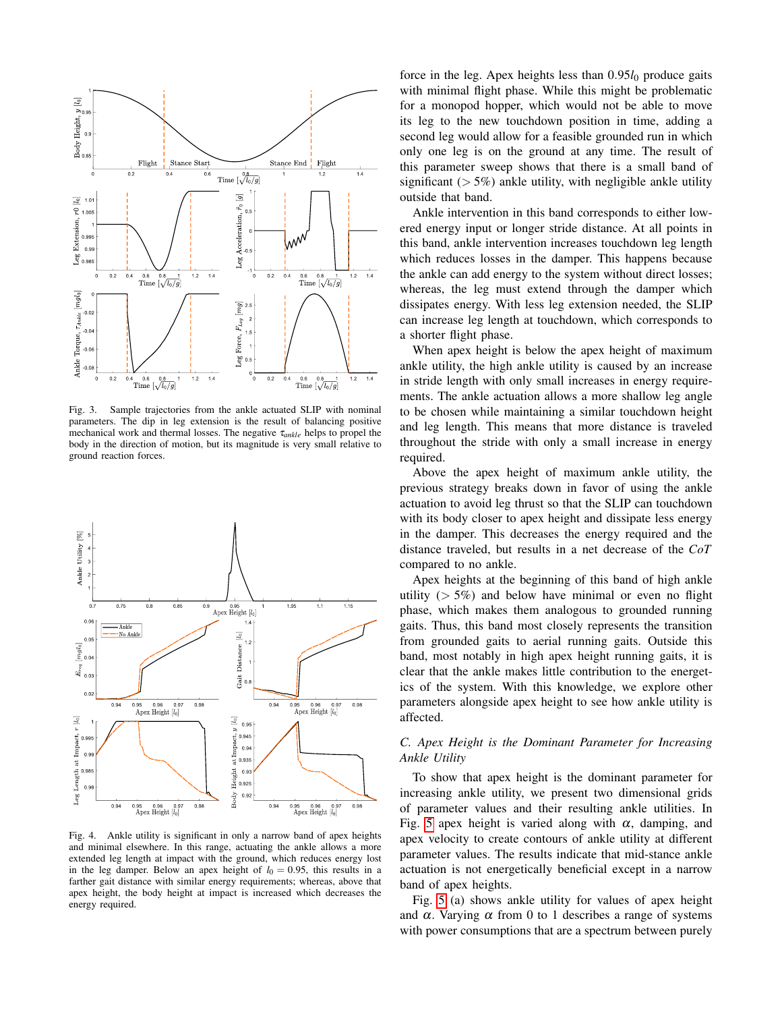

<span id="page-4-0"></span>Fig. 3. Sample trajectories from the ankle actuated SLIP with nominal parameters. The dip in leg extension is the result of balancing positive mechanical work and thermal losses. The negative τ*ankle* helps to propel the body in the direction of motion, but its magnitude is very small relative to ground reaction forces.



<span id="page-4-1"></span>Fig. 4. Ankle utility is significant in only a narrow band of apex heights and minimal elsewhere. In this range, actuating the ankle allows a more extended leg length at impact with the ground, which reduces energy lost in the leg damper. Below an apex height of  $l_0 = 0.95$ , this results in a farther gait distance with similar energy requirements; whereas, above that apex height, the body height at impact is increased which decreases the energy required.

force in the leg. Apex heights less than  $0.95l_0$  produce gaits with minimal flight phase. While this might be problematic for a monopod hopper, which would not be able to move its leg to the new touchdown position in time, adding a second leg would allow for a feasible grounded run in which only one leg is on the ground at any time. The result of this parameter sweep shows that there is a small band of significant ( $> 5\%$ ) ankle utility, with negligible ankle utility outside that band.

Ankle intervention in this band corresponds to either lowered energy input or longer stride distance. At all points in this band, ankle intervention increases touchdown leg length which reduces losses in the damper. This happens because the ankle can add energy to the system without direct losses; whereas, the leg must extend through the damper which dissipates energy. With less leg extension needed, the SLIP can increase leg length at touchdown, which corresponds to a shorter flight phase.

When apex height is below the apex height of maximum ankle utility, the high ankle utility is caused by an increase in stride length with only small increases in energy requirements. The ankle actuation allows a more shallow leg angle to be chosen while maintaining a similar touchdown height and leg length. This means that more distance is traveled throughout the stride with only a small increase in energy required.

Above the apex height of maximum ankle utility, the previous strategy breaks down in favor of using the ankle actuation to avoid leg thrust so that the SLIP can touchdown with its body closer to apex height and dissipate less energy in the damper. This decreases the energy required and the distance traveled, but results in a net decrease of the *CoT* compared to no ankle.

Apex heights at the beginning of this band of high ankle utility ( $> 5\%$ ) and below have minimal or even no flight phase, which makes them analogous to grounded running gaits. Thus, this band most closely represents the transition from grounded gaits to aerial running gaits. Outside this band, most notably in high apex height running gaits, it is clear that the ankle makes little contribution to the energetics of the system. With this knowledge, we explore other parameters alongside apex height to see how ankle utility is affected.

# *C. Apex Height is the Dominant Parameter for Increasing Ankle Utility*

To show that apex height is the dominant parameter for increasing ankle utility, we present two dimensional grids of parameter values and their resulting ankle utilities. In Fig. [5](#page-5-0) apex height is varied along with  $\alpha$ , damping, and apex velocity to create contours of ankle utility at different parameter values. The results indicate that mid-stance ankle actuation is not energetically beneficial except in a narrow band of apex heights.

Fig. [5](#page-5-0) (a) shows ankle utility for values of apex height and  $\alpha$ . Varying  $\alpha$  from 0 to 1 describes a range of systems with power consumptions that are a spectrum between purely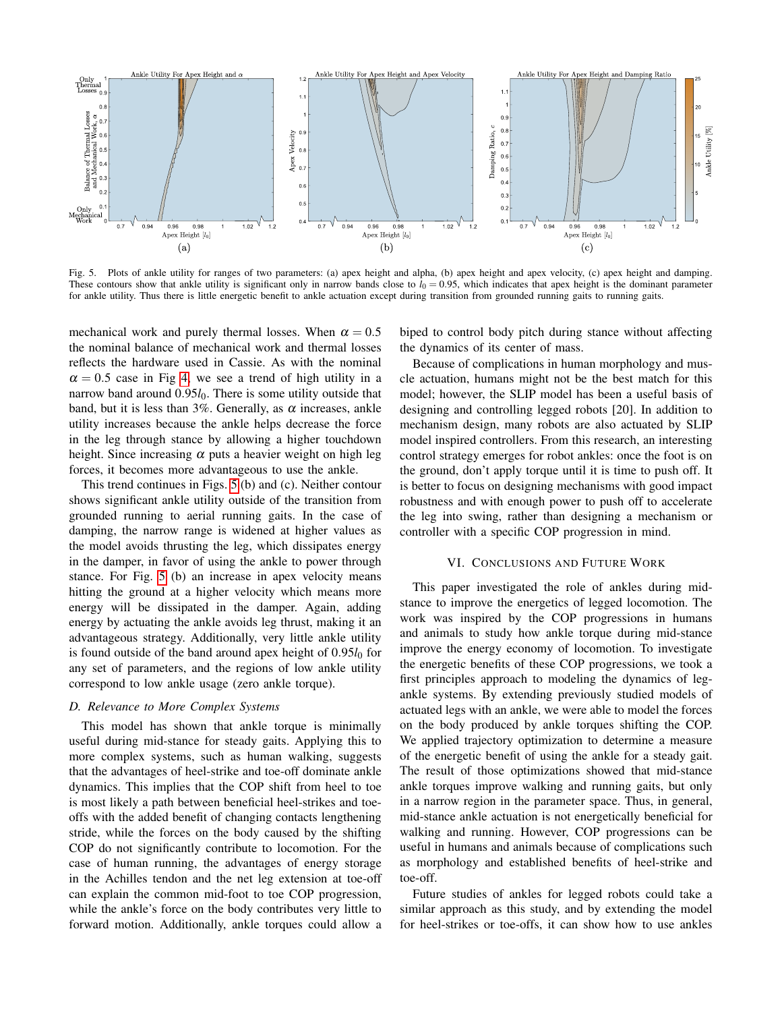

<span id="page-5-0"></span>Fig. 5. Plots of ankle utility for ranges of two parameters: (a) apex height and alpha, (b) apex height and apex velocity, (c) apex height and damping. These contours show that ankle utility is significant only in narrow bands close to  $l_0 = 0.95$ , which indicates that apex height is the dominant parameter for ankle utility. Thus there is little energetic benefit to ankle actuation except during transition from grounded running gaits to running gaits.

mechanical work and purely thermal losses. When  $\alpha = 0.5$ the nominal balance of mechanical work and thermal losses reflects the hardware used in Cassie. As with the nominal  $\alpha = 0.5$  case in Fig [4,](#page-4-1) we see a trend of high utility in a narrow band around 0.95*l*<sub>0</sub>. There is some utility outside that band, but it is less than 3%. Generally, as  $\alpha$  increases, ankle utility increases because the ankle helps decrease the force in the leg through stance by allowing a higher touchdown height. Since increasing  $\alpha$  puts a heavier weight on high leg forces, it becomes more advantageous to use the ankle.

This trend continues in Figs. [5](#page-5-0) (b) and (c). Neither contour shows significant ankle utility outside of the transition from grounded running to aerial running gaits. In the case of damping, the narrow range is widened at higher values as the model avoids thrusting the leg, which dissipates energy in the damper, in favor of using the ankle to power through stance. For Fig. [5](#page-5-0) (b) an increase in apex velocity means hitting the ground at a higher velocity which means more energy will be dissipated in the damper. Again, adding energy by actuating the ankle avoids leg thrust, making it an advantageous strategy. Additionally, very little ankle utility is found outside of the band around apex height of 0.95*l*<sub>0</sub> for any set of parameters, and the regions of low ankle utility correspond to low ankle usage (zero ankle torque).

#### *D. Relevance to More Complex Systems*

This model has shown that ankle torque is minimally useful during mid-stance for steady gaits. Applying this to more complex systems, such as human walking, suggests that the advantages of heel-strike and toe-off dominate ankle dynamics. This implies that the COP shift from heel to toe is most likely a path between beneficial heel-strikes and toeoffs with the added benefit of changing contacts lengthening stride, while the forces on the body caused by the shifting COP do not significantly contribute to locomotion. For the case of human running, the advantages of energy storage in the Achilles tendon and the net leg extension at toe-off can explain the common mid-foot to toe COP progression, while the ankle's force on the body contributes very little to forward motion. Additionally, ankle torques could allow a biped to control body pitch during stance without affecting the dynamics of its center of mass.

Because of complications in human morphology and muscle actuation, humans might not be the best match for this model; however, the SLIP model has been a useful basis of designing and controlling legged robots [20]. In addition to mechanism design, many robots are also actuated by SLIP model inspired controllers. From this research, an interesting control strategy emerges for robot ankles: once the foot is on the ground, don't apply torque until it is time to push off. It is better to focus on designing mechanisms with good impact robustness and with enough power to push off to accelerate the leg into swing, rather than designing a mechanism or controller with a specific COP progression in mind.

## VI. CONCLUSIONS AND FUTURE WORK

This paper investigated the role of ankles during midstance to improve the energetics of legged locomotion. The work was inspired by the COP progressions in humans and animals to study how ankle torque during mid-stance improve the energy economy of locomotion. To investigate the energetic benefits of these COP progressions, we took a first principles approach to modeling the dynamics of legankle systems. By extending previously studied models of actuated legs with an ankle, we were able to model the forces on the body produced by ankle torques shifting the COP. We applied trajectory optimization to determine a measure of the energetic benefit of using the ankle for a steady gait. The result of those optimizations showed that mid-stance ankle torques improve walking and running gaits, but only in a narrow region in the parameter space. Thus, in general, mid-stance ankle actuation is not energetically beneficial for walking and running. However, COP progressions can be useful in humans and animals because of complications such as morphology and established benefits of heel-strike and toe-off.

Future studies of ankles for legged robots could take a similar approach as this study, and by extending the model for heel-strikes or toe-offs, it can show how to use ankles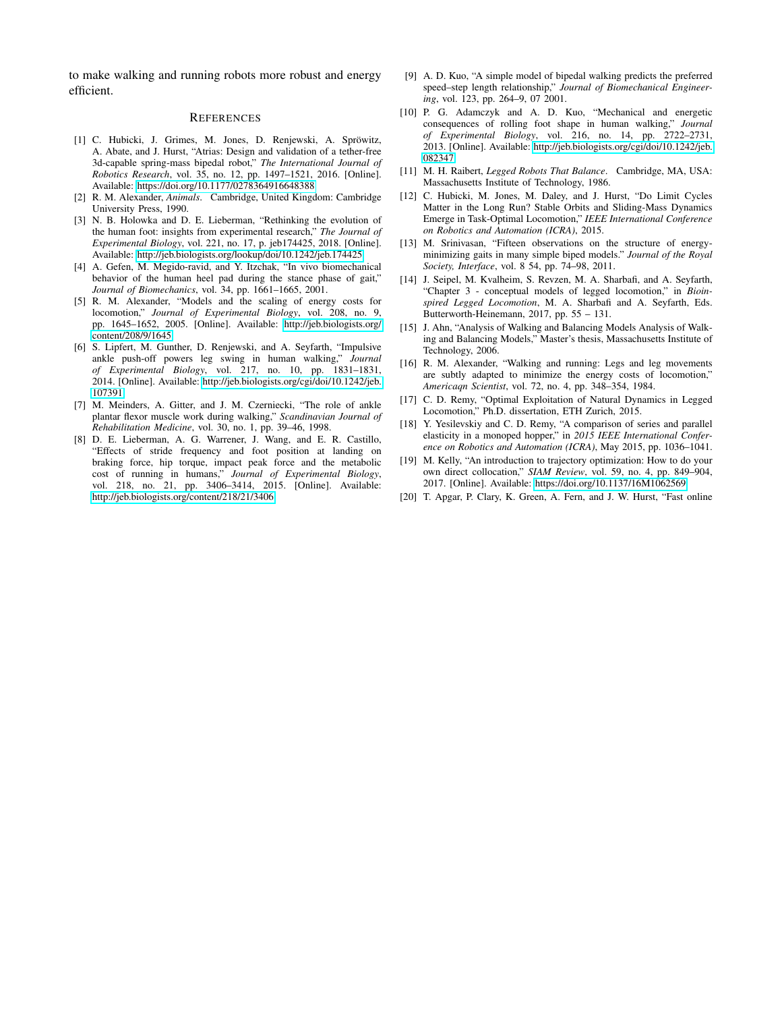to make walking and running robots more robust and energy efficient.

#### **REFERENCES**

- [1] C. Hubicki, J. Grimes, M. Jones, D. Renjewski, A. Spröwitz, A. Abate, and J. Hurst, "Atrias: Design and validation of a tether-free 3d-capable spring-mass bipedal robot," *The International Journal of Robotics Research*, vol. 35, no. 12, pp. 1497–1521, 2016. [Online]. Available:<https://doi.org/10.1177/0278364916648388>
- [2] R. M. Alexander, *Animals*. Cambridge, United Kingdom: Cambridge University Press, 1990.
- [3] N. B. Holowka and D. E. Lieberman, "Rethinking the evolution of the human foot: insights from experimental research," *The Journal of Experimental Biology*, vol. 221, no. 17, p. jeb174425, 2018. [Online]. Available:<http://jeb.biologists.org/lookup/doi/10.1242/jeb.174425>
- [4] A. Gefen, M. Megido-ravid, and Y. Itzchak, "In vivo biomechanical behavior of the human heel pad during the stance phase of gait," *Journal of Biomechanics*, vol. 34, pp. 1661–1665, 2001.
- [5] R. M. Alexander, "Models and the scaling of energy costs for locomotion," *Journal of Experimental Biology*, vol. 208, no. 9, pp. 1645–1652, 2005. [Online]. Available: [http://jeb.biologists.org/](http://jeb.biologists.org/content/208/9/1645) [content/208/9/1645](http://jeb.biologists.org/content/208/9/1645)
- [6] S. Lipfert, M. Gunther, D. Renjewski, and A. Seyfarth, "Impulsive ankle push-off powers leg swing in human walking," *Journal of Experimental Biology*, vol. 217, no. 10, pp. 1831–1831, 2014. [Online]. Available: [http://jeb.biologists.org/cgi/doi/10.1242/jeb.](http://jeb.biologists.org/cgi/doi/10.1242/jeb.107391) [107391](http://jeb.biologists.org/cgi/doi/10.1242/jeb.107391)
- [7] M. Meinders, A. Gitter, and J. M. Czerniecki, "The role of ankle plantar flexor muscle work during walking," *Scandinavian Journal of Rehabilitation Medicine*, vol. 30, no. 1, pp. 39–46, 1998.
- [8] D. E. Lieberman, A. G. Warrener, J. Wang, and E. R. Castillo, "Effects of stride frequency and foot position at landing on braking force, hip torque, impact peak force and the metabolic cost of running in humans," *Journal of Experimental Biology*, vol. 218, no. 21, pp. 3406–3414, 2015. [Online]. Available: <http://jeb.biologists.org/content/218/21/3406>
- [9] A. D. Kuo, "A simple model of bipedal walking predicts the preferred speed–step length relationship," *Journal of Biomechanical Engineering*, vol. 123, pp. 264–9, 07 2001.
- [10] P. G. Adamczyk and A. D. Kuo, "Mechanical and energetic consequences of rolling foot shape in human walking," *Journal of Experimental Biology*, vol. 216, no. 14, pp. 2722–2731, 2013. [Online]. Available: [http://jeb.biologists.org/cgi/doi/10.1242/jeb.](http://jeb.biologists.org/cgi/doi/10.1242/jeb.082347) [082347](http://jeb.biologists.org/cgi/doi/10.1242/jeb.082347)
- [11] M. H. Raibert, *Legged Robots That Balance*. Cambridge, MA, USA: Massachusetts Institute of Technology, 1986.
- [12] C. Hubicki, M. Jones, M. Daley, and J. Hurst, "Do Limit Cycles Matter in the Long Run? Stable Orbits and Sliding-Mass Dynamics Emerge in Task-Optimal Locomotion," *IEEE International Conference on Robotics and Automation (ICRA)*, 2015.
- [13] M. Srinivasan, "Fifteen observations on the structure of energyminimizing gaits in many simple biped models." *Journal of the Royal Society, Interface*, vol. 8 54, pp. 74–98, 2011.
- [14] J. Seipel, M. Kvalheim, S. Revzen, M. A. Sharbafi, and A. Seyfarth, "Chapter 3 - conceptual models of legged locomotion," in *Bioinspired Legged Locomotion*, M. A. Sharbafi and A. Seyfarth, Eds. Butterworth-Heinemann, 2017, pp. 55 – 131.
- [15] J. Ahn, "Analysis of Walking and Balancing Models Analysis of Walking and Balancing Models," Master's thesis, Massachusetts Institute of Technology, 2006.
- [16] R. M. Alexander, "Walking and running: Legs and leg movements are subtly adapted to minimize the energy costs of locomotion," *Americaqn Scientist*, vol. 72, no. 4, pp. 348–354, 1984.
- [17] C. D. Remy, "Optimal Exploitation of Natural Dynamics in Legged Locomotion," Ph.D. dissertation, ETH Zurich, 2015.
- [18] Y. Yesilevskiy and C. D. Remy, "A comparison of series and parallel elasticity in a monoped hopper," in *2015 IEEE International Conference on Robotics and Automation (ICRA)*, May 2015, pp. 1036–1041.
- [19] M. Kelly, "An introduction to trajectory optimization: How to do your own direct collocation," *SIAM Review*, vol. 59, no. 4, pp. 849–904, 2017. [Online]. Available:<https://doi.org/10.1137/16M1062569>
- [20] T. Apgar, P. Clary, K. Green, A. Fern, and J. W. Hurst, "Fast online